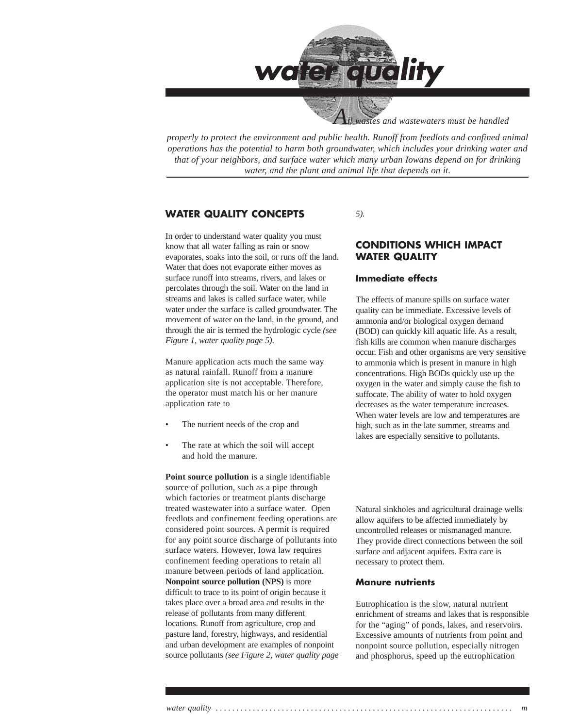

 *All wastes and wastewaters must be handled*

*properly to protect the environment and public health. Runoff from feedlots and confined animal operations has the potential to harm both groundwater, which includes your drinking water and that of your neighbors, and surface water which many urban Iowans depend on for drinking water, and the plant and animal life that depends on it.*

### **WATER QUALITY CONCEPTS**

In order to understand water quality you must know that all water falling as rain or snow evaporates, soaks into the soil, or runs off the land. Water that does not evaporate either moves as surface runoff into streams, rivers, and lakes or percolates through the soil. Water on the land in streams and lakes is called surface water, while water under the surface is called groundwater. The movement of water on the land, in the ground, and through the air is termed the hydrologic cycle *(see Figure 1, water quality page 5)*.

Manure application acts much the same way as natural rainfall. Runoff from a manure application site is not acceptable. Therefore, the operator must match his or her manure application rate to

- The nutrient needs of the crop and
- The rate at which the soil will accept and hold the manure.

**Point source pollution** is a single identifiable source of pollution, such as a pipe through which factories or treatment plants discharge treated wastewater into a surface water. Open feedlots and confinement feeding operations are considered point sources. A permit is required for any point source discharge of pollutants into surface waters. However, Iowa law requires confinement feeding operations to retain all manure between periods of land application. **Nonpoint source pollution (NPS)** is more difficult to trace to its point of origin because it takes place over a broad area and results in the release of pollutants from many different locations. Runoff from agriculture, crop and pasture land, forestry, highways, and residential and urban development are examples of nonpoint source pollutants *(see Figure 2, water quality page* *5).*

### **CONDITIONS WHICH IMPACT WATER QUALITY**

### **Immediate effects**

The effects of manure spills on surface water quality can be immediate. Excessive levels of ammonia and/or biological oxygen demand (BOD) can quickly kill aquatic life. As a result, fish kills are common when manure discharges occur. Fish and other organisms are very sensitive to ammonia which is present in manure in high concentrations. High BODs quickly use up the oxygen in the water and simply cause the fish to suffocate. The ability of water to hold oxygen decreases as the water temperature increases. When water levels are low and temperatures are high, such as in the late summer, streams and lakes are especially sensitive to pollutants.

Natural sinkholes and agricultural drainage wells allow aquifers to be affected immediately by uncontrolled releases or mismanaged manure. They provide direct connections between the soil surface and adjacent aquifers. Extra care is necessary to protect them.

#### **Manure nutrients**

Eutrophication is the slow, natural nutrient enrichment of streams and lakes that is responsible for the "aging" of ponds, lakes, and reservoirs. Excessive amounts of nutrients from point and nonpoint source pollution, especially nitrogen and phosphorus, speed up the eutrophication

*water quality . . . . . . . . . . . . . . . . . . . . . . . . . . . . . . . . . . . . . . . . . . . . . . . . . . . . . . . . . . . . . . . . . . . . . . . . m*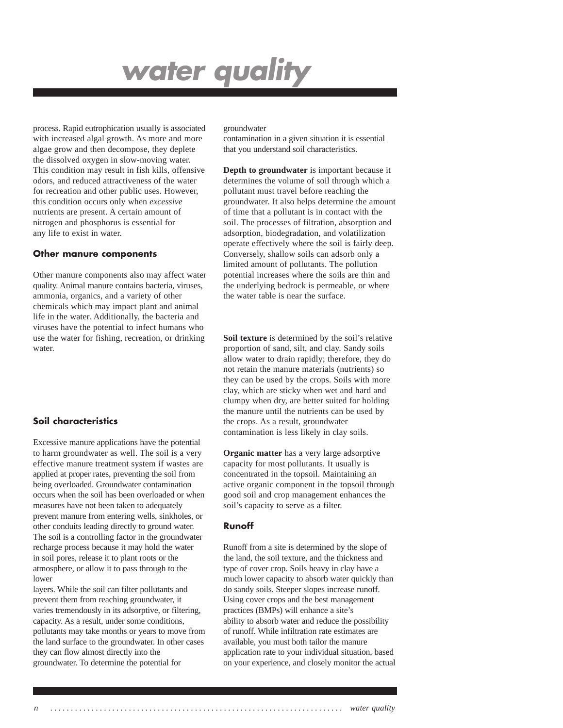process. Rapid eutrophication usually is associated with increased algal growth. As more and more algae grow and then decompose, they deplete the dissolved oxygen in slow-moving water. This condition may result in fish kills, offensive odors, and reduced attractiveness of the water for recreation and other public uses. However, this condition occurs only when *excessive* nutrients are present. A certain amount of nitrogen and phosphorus is essential for any life to exist in water.

#### **Other manure components**

Other manure components also may affect water quality. Animal manure contains bacteria, viruses, ammonia, organics, and a variety of other chemicals which may impact plant and animal life in the water. Additionally, the bacteria and viruses have the potential to infect humans who use the water for fishing, recreation, or drinking water.

### **Soil characteristics**

Excessive manure applications have the potential to harm groundwater as well. The soil is a very effective manure treatment system if wastes are applied at proper rates, preventing the soil from being overloaded. Groundwater contamination occurs when the soil has been overloaded or when measures have not been taken to adequately prevent manure from entering wells, sinkholes, or other conduits leading directly to ground water. The soil is a controlling factor in the groundwater recharge process because it may hold the water in soil pores, release it to plant roots or the atmosphere, or allow it to pass through to the lower

layers. While the soil can filter pollutants and prevent them from reaching groundwater, it varies tremendously in its adsorptive, or filtering, capacity. As a result, under some conditions, pollutants may take months or years to move from the land surface to the groundwater. In other cases they can flow almost directly into the groundwater. To determine the potential for

#### groundwater

contamination in a given situation it is essential that you understand soil characteristics.

**Depth to groundwater** is important because it determines the volume of soil through which a pollutant must travel before reaching the groundwater. It also helps determine the amount of time that a pollutant is in contact with the soil. The processes of filtration, absorption and adsorption, biodegradation, and volatilization operate effectively where the soil is fairly deep. Conversely, shallow soils can adsorb only a limited amount of pollutants. The pollution potential increases where the soils are thin and the underlying bedrock is permeable, or where the water table is near the surface.

**Soil texture** is determined by the soil's relative proportion of sand, silt, and clay. Sandy soils allow water to drain rapidly; therefore, they do not retain the manure materials (nutrients) so they can be used by the crops. Soils with more clay, which are sticky when wet and hard and clumpy when dry, are better suited for holding the manure until the nutrients can be used by the crops. As a result, groundwater contamination is less likely in clay soils.

**Organic matter** has a very large adsorptive capacity for most pollutants. It usually is concentrated in the topsoil. Maintaining an active organic component in the topsoil through good soil and crop management enhances the soil's capacity to serve as a filter.

#### **Runoff**

Runoff from a site is determined by the slope of the land, the soil texture, and the thickness and type of cover crop. Soils heavy in clay have a much lower capacity to absorb water quickly than do sandy soils. Steeper slopes increase runoff. Using cover crops and the best management practices (BMPs) will enhance a site's ability to absorb water and reduce the possibility of runoff. While infiltration rate estimates are available, you must both tailor the manure application rate to your individual situation, based on your experience, and closely monitor the actual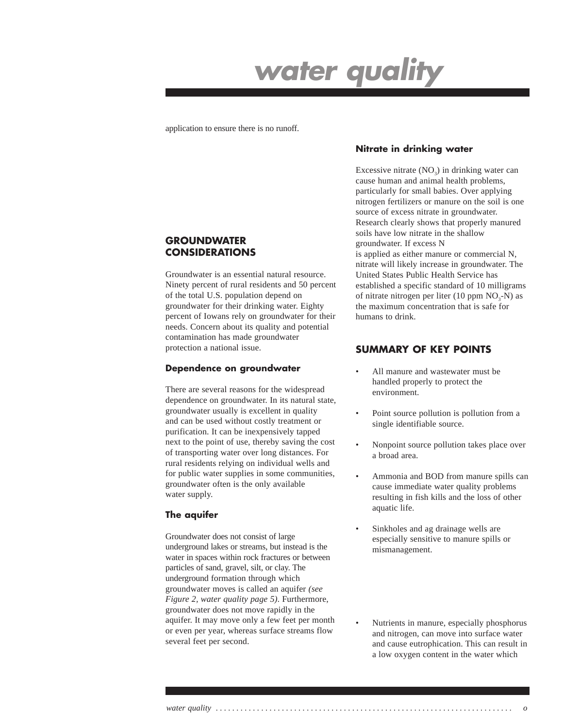application to ensure there is no runoff.

### **GROUNDWATER CONSIDERATIONS**

Groundwater is an essential natural resource. Ninety percent of rural residents and 50 percent of the total U.S. population depend on groundwater for their drinking water. Eighty percent of Iowans rely on groundwater for their needs. Concern about its quality and potential contamination has made groundwater protection a national issue.

### **Dependence on groundwater**

There are several reasons for the widespread dependence on groundwater. In its natural state, groundwater usually is excellent in quality and can be used without costly treatment or purification. It can be inexpensively tapped next to the point of use, thereby saving the cost of transporting water over long distances. For rural residents relying on individual wells and for public water supplies in some communities, groundwater often is the only available water supply.

### **The aquifer**

Groundwater does not consist of large underground lakes or streams, but instead is the water in spaces within rock fractures or between particles of sand, gravel, silt, or clay. The underground formation through which groundwater moves is called an aquifer *(see Figure 2, water quality page 5)*. Furthermore, groundwater does not move rapidly in the aquifer. It may move only a few feet per month or even per year, whereas surface streams flow several feet per second.

### **Nitrate in drinking water**

Excessive nitrate  $(NO<sub>2</sub>)$  in drinking water can cause human and animal health problems, particularly for small babies. Over applying nitrogen fertilizers or manure on the soil is one source of excess nitrate in groundwater. Research clearly shows that properly manured soils have low nitrate in the shallow groundwater. If excess N

is applied as either manure or commercial N, nitrate will likely increase in groundwater. The United States Public Health Service has established a specific standard of 10 milligrams of nitrate nitrogen per liter (10 ppm  $NO<sub>3</sub>-N$ ) as the maximum concentration that is safe for humans to drink.

## **SUMMARY OF KEY POINTS**

- All manure and wastewater must be handled properly to protect the environment.
- Point source pollution is pollution from a single identifiable source.
- Nonpoint source pollution takes place over a broad area.
- Ammonia and BOD from manure spills can cause immediate water quality problems resulting in fish kills and the loss of other aquatic life.
- Sinkholes and ag drainage wells are especially sensitive to manure spills or mismanagement.
- Nutrients in manure, especially phosphorus and nitrogen, can move into surface water and cause eutrophication. This can result in a low oxygen content in the water which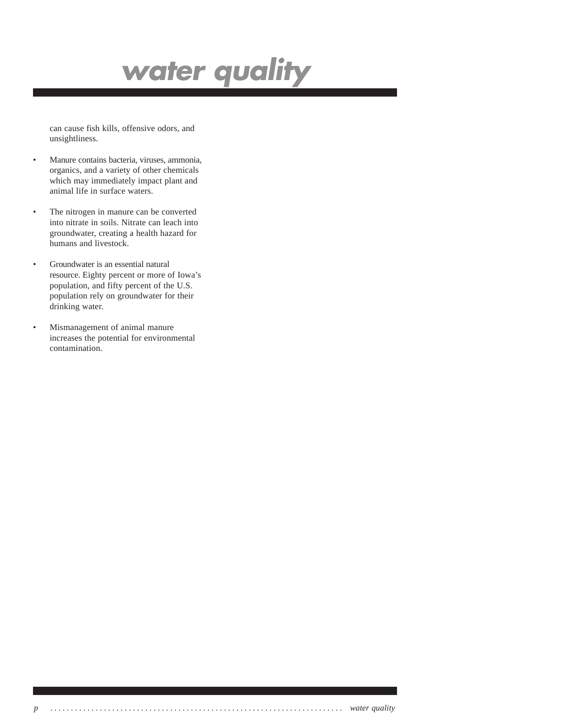can cause fish kills, offensive odors, and unsightliness.

- Manure contains bacteria, viruses, ammonia, organics, and a variety of other chemicals which may immediately impact plant and animal life in surface waters.
- The nitrogen in manure can be converted into nitrate in soils. Nitrate can leach into groundwater, creating a health hazard for humans and livestock.
- Groundwater is an essential natural resource. Eighty percent or more of Iowa's population, and fifty percent of the U.S. population rely on groundwater for their drinking water.
- Mismanagement of animal manure increases the potential for environmental contamination.